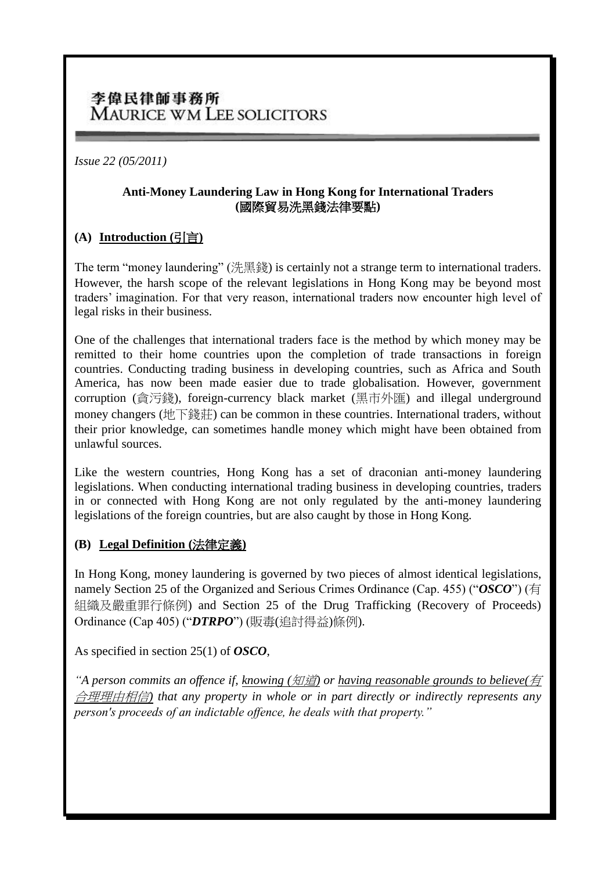## 李偉民律師事務所 MAURICE WM LEE SOLICITORS

*Issue 22 (05/2011)*

#### **Anti-Money Laundering Law in Hong Kong for International Traders (**國際貿易洗黑錢法律要點**)**

### **(A) Introduction (**引言**)**

The term "money laundering" (洗黑錢) is certainly not a strange term to international traders. However, the harsh scope of the relevant legislations in Hong Kong may be beyond most traders' imagination. For that very reason, international traders now encounter high level of legal risks in their business.

One of the challenges that international traders face is the method by which money may be remitted to their home countries upon the completion of trade transactions in foreign countries. Conducting trading business in developing countries, such as Africa and South America, has now been made easier due to trade globalisation. However, government corruption (貪污錢), foreign-currency black market (黑市外匯) and illegal underground money changers (地下錢莊) can be common in these countries. International traders, without their prior knowledge, can sometimes handle money which might have been obtained from unlawful sources.

Like the western countries. Hong Kong has a set of draconian anti-money laundering legislations. When conducting international trading business in developing countries, traders in or connected with Hong Kong are not only regulated by the anti-money laundering legislations of the foreign countries, but are also caught by those in Hong Kong.

### **(B) Legal Definition (**法律定義**)**

In Hong Kong, money laundering is governed by two pieces of almost identical legislations, namely Section 25 of the Organized and Serious Crimes Ordinance (Cap. 455) ("*OSCO*") (有 組織及嚴重罪行條例) and Section 25 of the Drug Trafficking (Recovery of Proceeds) Ordinance (Cap 405) ("*DTRPO*") (販毒(追討得益)條例).

As specified in section 25(1) of *OSCO*,

*"A person commits an offence if, knowing (*知道*) or having reasonable grounds to believe(*有 合理理由相信*) that any property in whole or in part directly or indirectly represents any person's proceeds of an indictable offence, he deals with that property."*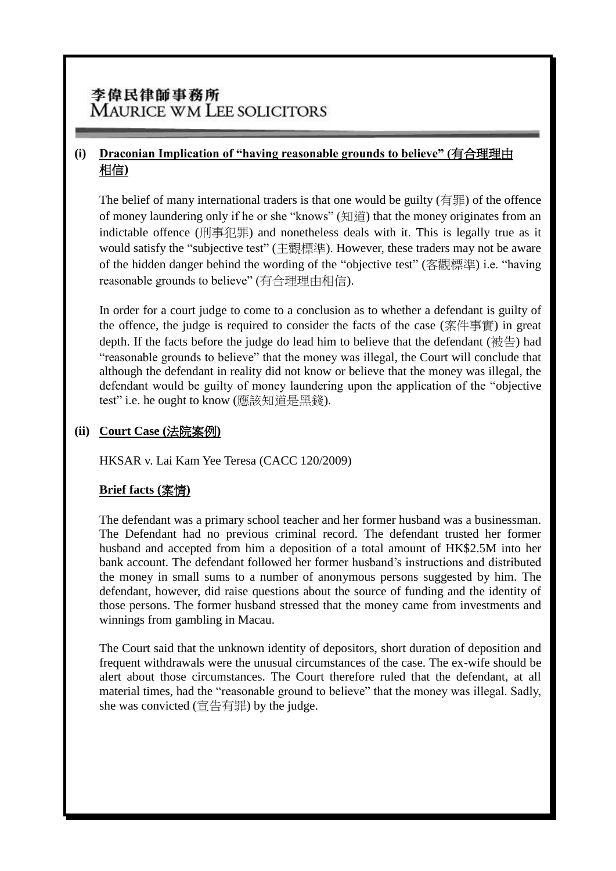# 李偉民律師事務所 **MAURICE WM LEE SOLICITORS**

## **(i) Draconian Implication of "having reasonable grounds to believe" (**有合理理由 相信**)**

The belief of many international traders is that one would be guilty  $(1 \nexists \mathbb{F})$  of the offence of money laundering only if he or she "knows" (知道) that the money originates from an indictable offence (刑事犯罪) and nonetheless deals with it. This is legally true as it would satisfy the "subjective test" (主觀標準). However, these traders may not be aware of the hidden danger behind the wording of the "objective test" (客觀標準) i.e. "having reasonable grounds to believe" (有合理理由相信).

In order for a court judge to come to a conclusion as to whether a defendant is guilty of the offence, the judge is required to consider the facts of the case (案件事實) in great depth. If the facts before the judge do lead him to believe that the defendant (被告) had "reasonable grounds to believe" that the money was illegal, the Court will conclude that although the defendant in reality did not know or believe that the money was illegal, the defendant would be guilty of money laundering upon the application of the "objective test" i.e. he ought to know (應該知道是黑錢).

#### **(ii) Court Case (**法院案例**)**

HKSAR v. Lai Kam Yee Teresa (CACC 120/2009)

### **Brief facts (**案情**)**

The defendant was a primary school teacher and her former husband was a businessman. The Defendant had no previous criminal record. The defendant trusted her former husband and accepted from him a deposition of a total amount of HK\$2.5M into her bank account. The defendant followed her former husband's instructions and distributed the money in small sums to a number of anonymous persons suggested by him. The defendant, however, did raise questions about the source of funding and the identity of those persons. The former husband stressed that the money came from investments and winnings from gambling in Macau.

The Court said that the unknown identity of depositors, short duration of deposition and frequent withdrawals were the unusual circumstances of the case. The ex-wife should be alert about those circumstances. The Court therefore ruled that the defendant, at all material times, had the "reasonable ground to believe" that the money was illegal. Sadly, she was convicted  $($ 宣告有罪) by the judge.